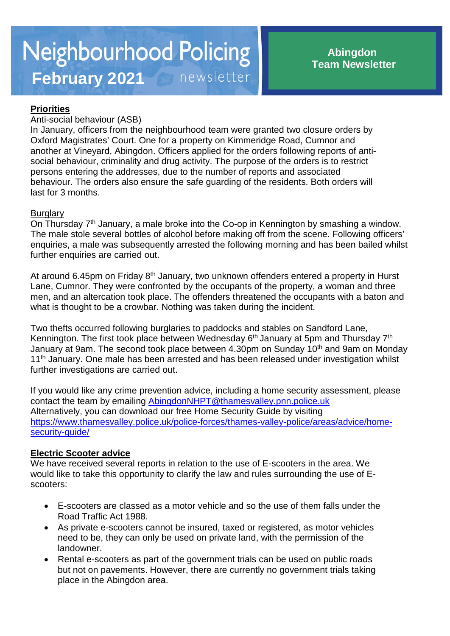## **Priorities**

### Anti-social behaviour (ASB)

In January, officers from the neighbourhood team were granted two closure orders by Oxford Magistrates' Court. One for a property on Kimmeridge Road, Cumnor and another at Vineyard, Abingdon. Officers applied for the orders following reports of antisocial behaviour, criminality and drug activity. The purpose of the orders is to restrict persons entering the addresses, due to the number of reports and associated behaviour. The orders also ensure the safe guarding of the residents. Both orders will last for 3 months.

### **Burglary**

On Thursday 7<sup>th</sup> January, a male broke into the Co-op in Kennington by smashing a window. The male stole several bottles of alcohol before making off from the scene. Following officers' enquiries, a male was subsequently arrested the following morning and has been bailed whilst further enquiries are carried out.

At around 6.45pm on Friday 8<sup>th</sup> January, two unknown offenders entered a property in Hurst Lane, Cumnor. They were confronted by the occupants of the property, a woman and three men, and an altercation took place. The offenders threatened the occupants with a baton and what is thought to be a crowbar. Nothing was taken during the incident.

Two thefts occurred following burglaries to paddocks and stables on Sandford Lane, Kennington. The first took place between Wednesday 6<sup>th</sup> January at 5pm and Thursday 7<sup>th</sup> January at 9am. The second took place between 4.30pm on Sunday 10<sup>th</sup> and 9am on Monday 11<sup>th</sup> January. One male has been arrested and has been released under investigation whilst further investigations are carried out.

If you would like any crime prevention advice, including a home security assessment, please contact the team by emailing [AbingdonNHPT@thamesvalley.pnn.police.uk](mailto:AbingdonNHPT@thamesvalley.pnn.police.uk) Alternatively, you can download our free Home Security Guide by visiting [https://www.thamesvalley.police.uk/police-forces/thames-valley-police/areas/advice/home](https://www.thamesvalley.police.uk/police-forces/thames-valley-police/areas/advice/home-security-guide/)[security-guide/](https://www.thamesvalley.police.uk/police-forces/thames-valley-police/areas/advice/home-security-guide/)

# **Electric Scooter advice**

We have received several reports in relation to the use of E-scooters in the area. We would like to take this opportunity to clarify the law and rules surrounding the use of Escooters:

- E-scooters are classed as a motor vehicle and so the use of them falls under the Road Traffic Act 1988.
- As private e-scooters cannot be insured, taxed or registered, as motor vehicles need to be, they can only be used on private land, with the permission of the landowner.
- Rental e-scooters as part of the government trials can be used on public roads but not on pavements. However, there are currently no government trials taking place in the Abingdon area.